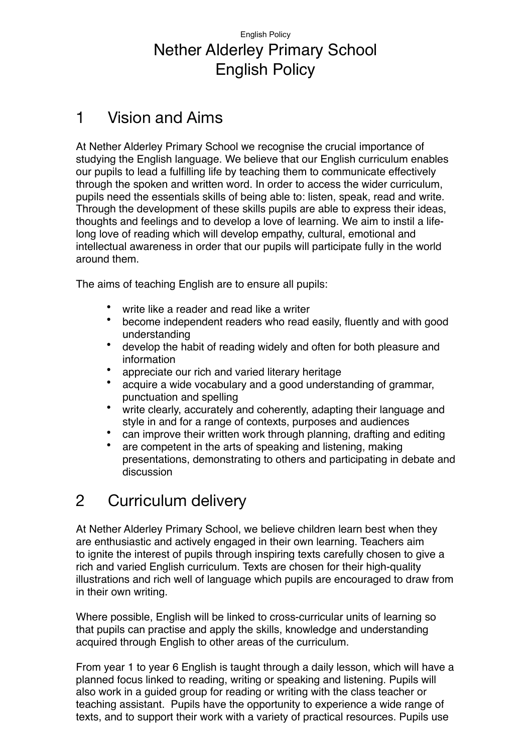## English Policy Nether Alderley Primary School English Policy

## 1 Vision and Aims

At Nether Alderley Primary School we recognise the crucial importance of studying the English language. We believe that our English curriculum enables our pupils to lead a fulfilling life by teaching them to communicate effectively through the spoken and written word. In order to access the wider curriculum, pupils need the essentials skills of being able to: listen, speak, read and write. Through the development of these skills pupils are able to express their ideas, thoughts and feelings and to develop a love of learning. We aim to instil a lifelong love of reading which will develop empathy, cultural, emotional and intellectual awareness in order that our pupils will participate fully in the world around them.

The aims of teaching English are to ensure all pupils:

- write like a reader and read like a writer
- become independent readers who read easily, fluently and with good understanding
- develop the habit of reading widely and often for both pleasure and information
- appreciate our rich and varied literary heritage
- acquire a wide vocabulary and a good understanding of grammar, punctuation and spelling
- write clearly, accurately and coherently, adapting their language and style in and for a range of contexts, purposes and audiences
- can improve their written work through planning, drafting and editing
- are competent in the arts of speaking and listening, making presentations, demonstrating to others and participating in debate and discussion

## 2 Curriculum delivery

At Nether Alderley Primary School, we believe children learn best when they are enthusiastic and actively engaged in their own learning. Teachers aim to ignite the interest of pupils through inspiring texts carefully chosen to give a rich and varied English curriculum. Texts are chosen for their high-quality illustrations and rich well of language which pupils are encouraged to draw from in their own writing.

Where possible, English will be linked to cross-curricular units of learning so that pupils can practise and apply the skills, knowledge and understanding acquired through English to other areas of the curriculum.

From year 1 to year 6 English is taught through a daily lesson, which will have a planned focus linked to reading, writing or speaking and listening. Pupils will also work in a guided group for reading or writing with the class teacher or teaching assistant. Pupils have the opportunity to experience a wide range of texts, and to support their work with a variety of practical resources. Pupils use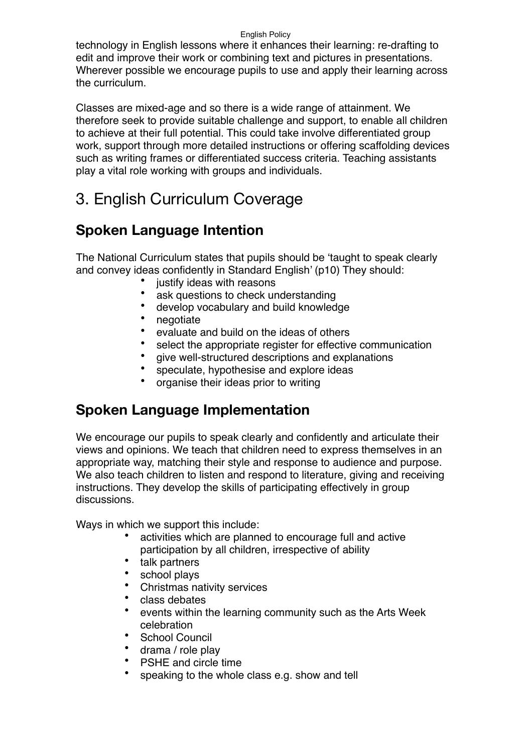technology in English lessons where it enhances their learning: re-drafting to edit and improve their work or combining text and pictures in presentations. Wherever possible we encourage pupils to use and apply their learning across the curriculum.

Classes are mixed-age and so there is a wide range of attainment. We therefore seek to provide suitable challenge and support, to enable all children to achieve at their full potential. This could take involve differentiated group work, support through more detailed instructions or offering scaffolding devices such as writing frames or differentiated success criteria. Teaching assistants play a vital role working with groups and individuals.

# 3. English Curriculum Coverage

## **Spoken Language Intention**

The National Curriculum states that pupils should be 'taught to speak clearly and convey ideas confidently in Standard English' (p10) They should:

- justify ideas with reasons
- ask questions to check understanding
- develop vocabulary and build knowledge<br>• negotiate
- negotiate<br>• **exaluate**
- evaluate and build on the ideas of others
- select the appropriate register for effective communication
- give well-structured descriptions and explanations<br>• speculate bynothesise and explore ideas
- speculate, hypothesise and explore ideas
- organise their ideas prior to writing

## **Spoken Language Implementation**

We encourage our pupils to speak clearly and confidently and articulate their views and opinions. We teach that children need to express themselves in an appropriate way, matching their style and response to audience and purpose. We also teach children to listen and respond to literature, giving and receiving instructions. They develop the skills of participating effectively in group discussions.

Ways in which we support this include:

- activities which are planned to encourage full and active participation by all children, irrespective of ability
- talk partners
- school plays
- Christmas nativity services
- class debates
- events within the learning community such as the Arts Week celebration
- School Council
- drama / role play
- PSHE and circle time
- speaking to the whole class e.g. show and tell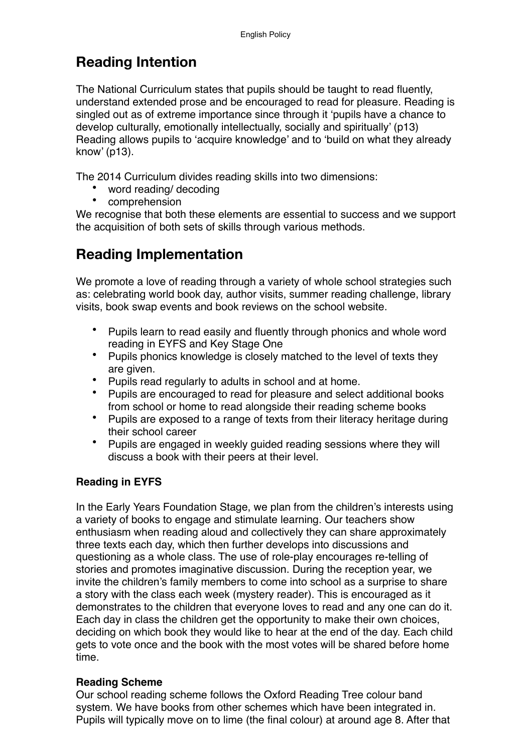## **Reading Intention**

The National Curriculum states that pupils should be taught to read fluently, understand extended prose and be encouraged to read for pleasure. Reading is singled out as of extreme importance since through it 'pupils have a chance to develop culturally, emotionally intellectually, socially and spiritually' (p13) Reading allows pupils to 'acquire knowledge' and to 'build on what they already know' (p13).

The 2014 Curriculum divides reading skills into two dimensions:

- word reading/ decoding
- comprehension

We recognise that both these elements are essential to success and we support the acquisition of both sets of skills through various methods.

## **Reading Implementation**

We promote a love of reading through a variety of whole school strategies such as: celebrating world book day, author visits, summer reading challenge, library visits, book swap events and book reviews on the school website.

- Pupils learn to read easily and fluently through phonics and whole word reading in EYFS and Key Stage One
- Pupils phonics knowledge is closely matched to the level of texts they are given.
- Pupils read regularly to adults in school and at home.
- Pupils are encouraged to read for pleasure and select additional books from school or home to read alongside their reading scheme books
- Pupils are exposed to a range of texts from their literacy heritage during their school career
- Pupils are engaged in weekly guided reading sessions where they will discuss a book with their peers at their level.

### **Reading in EYFS**

In the Early Years Foundation Stage, we plan from the children's interests using a variety of books to engage and stimulate learning. Our teachers show enthusiasm when reading aloud and collectively they can share approximately three texts each day, which then further develops into discussions and questioning as a whole class. The use of role-play encourages re-telling of stories and promotes imaginative discussion. During the reception year, we invite the children's family members to come into school as a surprise to share a story with the class each week (mystery reader). This is encouraged as it demonstrates to the children that everyone loves to read and any one can do it. Each day in class the children get the opportunity to make their own choices, deciding on which book they would like to hear at the end of the day. Each child gets to vote once and the book with the most votes will be shared before home time.

### **Reading Scheme**

Our school reading scheme follows the Oxford Reading Tree colour band system. We have books from other schemes which have been integrated in. Pupils will typically move on to lime (the final colour) at around age 8. After that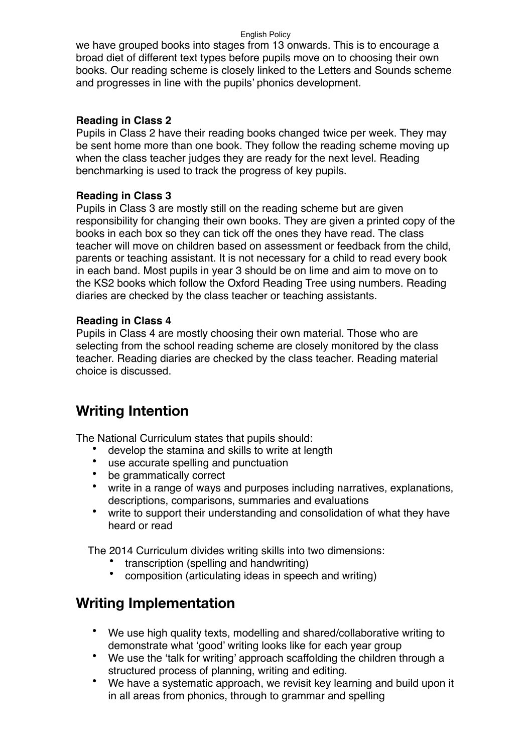we have grouped books into stages from 13 onwards. This is to encourage a broad diet of different text types before pupils move on to choosing their own books. Our reading scheme is closely linked to the Letters and Sounds scheme and progresses in line with the pupils' phonics development.

### **Reading in Class 2**

Pupils in Class 2 have their reading books changed twice per week. They may be sent home more than one book. They follow the reading scheme moving up when the class teacher judges they are ready for the next level. Reading benchmarking is used to track the progress of key pupils.

### **Reading in Class 3**

Pupils in Class 3 are mostly still on the reading scheme but are given responsibility for changing their own books. They are given a printed copy of the books in each box so they can tick off the ones they have read. The class teacher will move on children based on assessment or feedback from the child, parents or teaching assistant. It is not necessary for a child to read every book in each band. Most pupils in year 3 should be on lime and aim to move on to the KS2 books which follow the Oxford Reading Tree using numbers. Reading diaries are checked by the class teacher or teaching assistants.

### **Reading in Class 4**

Pupils in Class 4 are mostly choosing their own material. Those who are selecting from the school reading scheme are closely monitored by the class teacher. Reading diaries are checked by the class teacher. Reading material choice is discussed.

## **Writing Intention**

The National Curriculum states that pupils should:

- develop the stamina and skills to write at length
- use accurate spelling and punctuation
- be grammatically correct
- write in a range of ways and purposes including narratives, explanations, descriptions, comparisons, summaries and evaluations
- write to support their understanding and consolidation of what they have heard or read

The 2014 Curriculum divides writing skills into two dimensions:

- transcription (spelling and handwriting)<br>• composition (articulating ideas in speed
- composition (articulating ideas in speech and writing)

## **Writing Implementation**

- We use high quality texts, modelling and shared/collaborative writing to demonstrate what 'good' writing looks like for each year group
- We use the 'talk for writing' approach scaffolding the children through a structured process of planning, writing and editing.
- We have a systematic approach, we revisit key learning and build upon it in all areas from phonics, through to grammar and spelling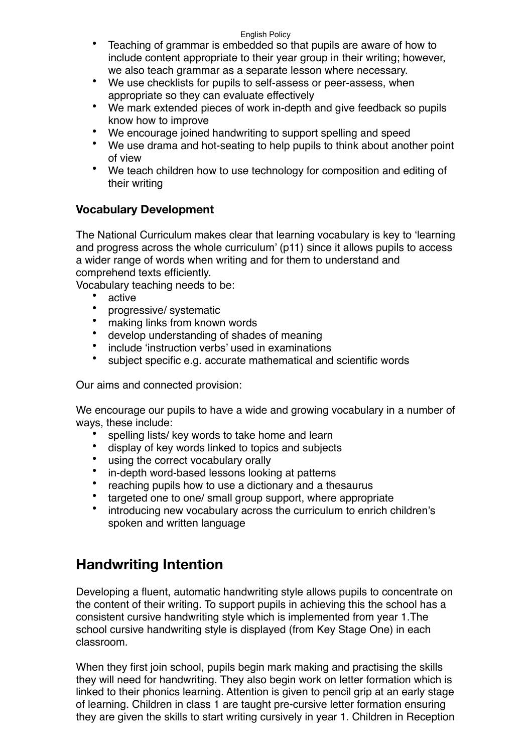- Teaching of grammar is embedded so that pupils are aware of how to include content appropriate to their year group in their writing; however, we also teach grammar as a separate lesson where necessary.
- We use checklists for pupils to self-assess or peer-assess, when appropriate so they can evaluate effectively
- We mark extended pieces of work in-depth and give feedback so pupils know how to improve
- We encourage joined handwriting to support spelling and speed
- We use drama and hot-seating to help pupils to think about another point of view
- We teach children how to use technology for composition and editing of their writing

## **Vocabulary Development**

The National Curriculum makes clear that learning vocabulary is key to 'learning and progress across the whole curriculum' (p11) since it allows pupils to access a wider range of words when writing and for them to understand and comprehend texts efficiently.

Vocabulary teaching needs to be:

- active
- progressive/ systematic
- making links from known words
- develop understanding of shades of meaning
- include 'instruction verbs' used in examinations
- subject specific e.g. accurate mathematical and scientific words

Our aims and connected provision:

We encourage our pupils to have a wide and growing vocabulary in a number of ways, these include:

- spelling lists/ key words to take home and learn<br>• display of key words linked to topics and subject
- display of key words linked to topics and subjects
- using the correct vocabulary orally
- in-depth word-based lessons looking at patterns
- reaching pupils how to use a dictionary and a thesaurus
- targeted one to one/ small group support, where appropriate
- introducing new vocabulary across the curriculum to enrich children's spoken and written language

## **Handwriting Intention**

Developing a fluent, automatic handwriting style allows pupils to concentrate on the content of their writing. To support pupils in achieving this the school has a consistent cursive handwriting style which is implemented from year 1.The school cursive handwriting style is displayed (from Key Stage One) in each classroom.

When they first join school, pupils begin mark making and practising the skills they will need for handwriting. They also begin work on letter formation which is linked to their phonics learning. Attention is given to pencil grip at an early stage of learning. Children in class 1 are taught pre-cursive letter formation ensuring they are given the skills to start writing cursively in year 1. Children in Reception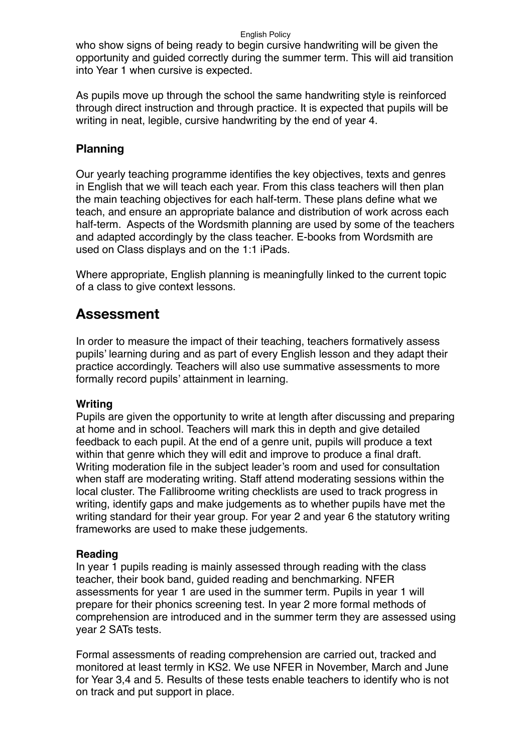who show signs of being ready to begin cursive handwriting will be given the opportunity and guided correctly during the summer term. This will aid transition into Year 1 when cursive is expected.

As pupils move up through the school the same handwriting style is reinforced through direct instruction and through practice. It is expected that pupils will be writing in neat, legible, cursive handwriting by the end of year 4.

### **Planning**

Our yearly teaching programme identifies the key objectives, texts and genres in English that we will teach each year. From this class teachers will then plan the main teaching objectives for each half-term. These plans define what we teach, and ensure an appropriate balance and distribution of work across each half-term. Aspects of the Wordsmith planning are used by some of the teachers and adapted accordingly by the class teacher. E-books from Wordsmith are used on Class displays and on the 1:1 iPads.

Where appropriate, English planning is meaningfully linked to the current topic of a class to give context lessons.

## **Assessment**

In order to measure the impact of their teaching, teachers formatively assess pupils' learning during and as part of every English lesson and they adapt their practice accordingly. Teachers will also use summative assessments to more formally record pupils' attainment in learning.

#### **Writing**

Pupils are given the opportunity to write at length after discussing and preparing at home and in school. Teachers will mark this in depth and give detailed feedback to each pupil. At the end of a genre unit, pupils will produce a text within that genre which they will edit and improve to produce a final draft. Writing moderation file in the subject leader's room and used for consultation when staff are moderating writing. Staff attend moderating sessions within the local cluster. The Fallibroome writing checklists are used to track progress in writing, identify gaps and make judgements as to whether pupils have met the writing standard for their year group. For year 2 and year 6 the statutory writing frameworks are used to make these judgements.

#### **Reading**

In year 1 pupils reading is mainly assessed through reading with the class teacher, their book band, guided reading and benchmarking. NFER assessments for year 1 are used in the summer term. Pupils in year 1 will prepare for their phonics screening test. In year 2 more formal methods of comprehension are introduced and in the summer term they are assessed using year 2 SATs tests.

Formal assessments of reading comprehension are carried out, tracked and monitored at least termly in KS2. We use NFER in November, March and June for Year 3,4 and 5. Results of these tests enable teachers to identify who is not on track and put support in place.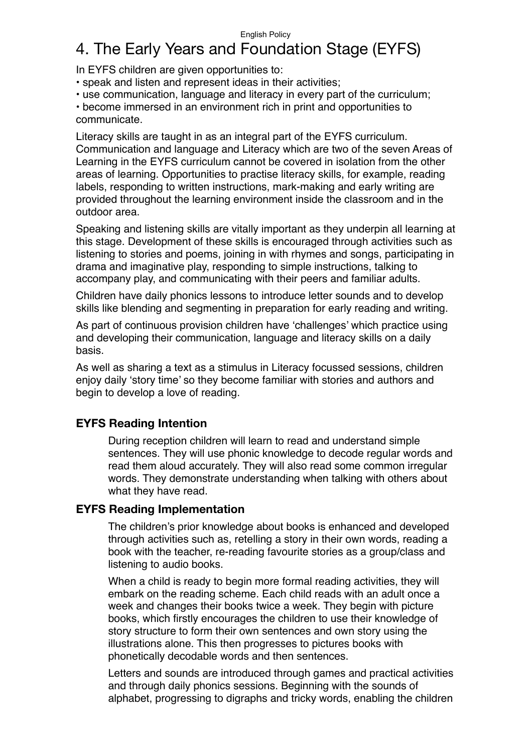# 4. The Early Years and Foundation Stage (EYFS)

In EYFS children are given opportunities to:

• speak and listen and represent ideas in their activities;

• use communication, language and literacy in every part of the curriculum;

• become immersed in an environment rich in print and opportunities to communicate.

Literacy skills are taught in as an integral part of the EYFS curriculum. Communication and language and Literacy which are two of the seven Areas of Learning in the EYFS curriculum cannot be covered in isolation from the other areas of learning. Opportunities to practise literacy skills, for example, reading labels, responding to written instructions, mark-making and early writing are provided throughout the learning environment inside the classroom and in the outdoor area.

Speaking and listening skills are vitally important as they underpin all learning at this stage. Development of these skills is encouraged through activities such as listening to stories and poems, joining in with rhymes and songs, participating in drama and imaginative play, responding to simple instructions, talking to accompany play, and communicating with their peers and familiar adults.

Children have daily phonics lessons to introduce letter sounds and to develop skills like blending and segmenting in preparation for early reading and writing.

As part of continuous provision children have 'challenges' which practice using and developing their communication, language and literacy skills on a daily basis.

As well as sharing a text as a stimulus in Literacy focussed sessions, children enjoy daily 'story time' so they become familiar with stories and authors and begin to develop a love of reading.

## **EYFS Reading Intention**

During reception children will learn to read and understand simple sentences. They will use phonic knowledge to decode regular words and read them aloud accurately. They will also read some common irregular words. They demonstrate understanding when talking with others about what they have read.

### **EYFS Reading Implementation**

The children's prior knowledge about books is enhanced and developed through activities such as, retelling a story in their own words, reading a book with the teacher, re-reading favourite stories as a group/class and listening to audio books.

When a child is ready to begin more formal reading activities, they will embark on the reading scheme. Each child reads with an adult once a week and changes their books twice a week. They begin with picture books, which firstly encourages the children to use their knowledge of story structure to form their own sentences and own story using the illustrations alone. This then progresses to pictures books with phonetically decodable words and then sentences.

Letters and sounds are introduced through games and practical activities and through daily phonics sessions. Beginning with the sounds of alphabet, progressing to digraphs and tricky words, enabling the children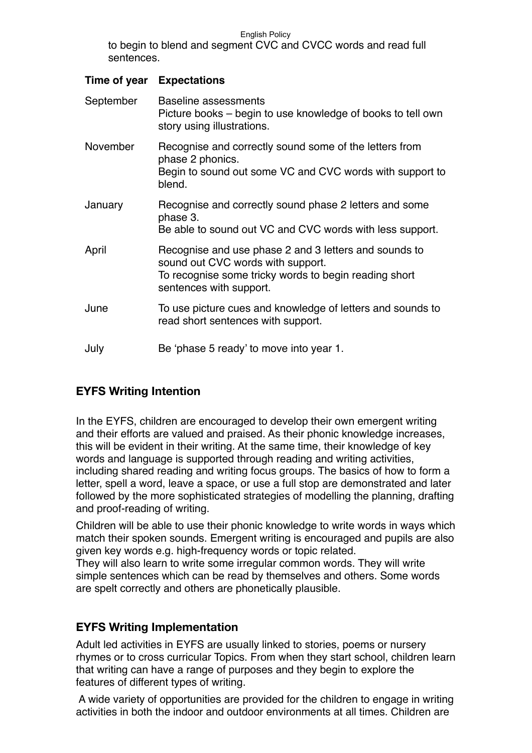to begin to blend and segment CVC and CVCC words and read full sentences.

### **Time of year Expectations**

| September | Baseline assessments<br>Picture books – begin to use knowledge of books to tell own<br>story using illustrations.                                                              |
|-----------|--------------------------------------------------------------------------------------------------------------------------------------------------------------------------------|
| November  | Recognise and correctly sound some of the letters from<br>phase 2 phonics.<br>Begin to sound out some VC and CVC words with support to<br>blend.                               |
| January   | Recognise and correctly sound phase 2 letters and some<br>phase 3.<br>Be able to sound out VC and CVC words with less support.                                                 |
| April     | Recognise and use phase 2 and 3 letters and sounds to<br>sound out CVC words with support.<br>To recognise some tricky words to begin reading short<br>sentences with support. |
| June      | To use picture cues and knowledge of letters and sounds to<br>read short sentences with support.                                                                               |
| July      | Be 'phase 5 ready' to move into year 1.                                                                                                                                        |

## **EYFS Writing Intention**

In the EYFS, children are encouraged to develop their own emergent writing and their efforts are valued and praised. As their phonic knowledge increases, this will be evident in their writing. At the same time, their knowledge of key words and language is supported through reading and writing activities, including shared reading and writing focus groups. The basics of how to form a letter, spell a word, leave a space, or use a full stop are demonstrated and later followed by the more sophisticated strategies of modelling the planning, drafting and proof-reading of writing.

Children will be able to use their phonic knowledge to write words in ways which match their spoken sounds. Emergent writing is encouraged and pupils are also given key words e.g. high-frequency words or topic related.

They will also learn to write some irregular common words. They will write simple sentences which can be read by themselves and others. Some words are spelt correctly and others are phonetically plausible.

## **EYFS Writing Implementation**

Adult led activities in EYFS are usually linked to stories, poems or nursery rhymes or to cross curricular Topics. From when they start school, children learn that writing can have a range of purposes and they begin to explore the features of different types of writing.

A wide variety of opportunities are provided for the children to engage in writing activities in both the indoor and outdoor environments at all times. Children are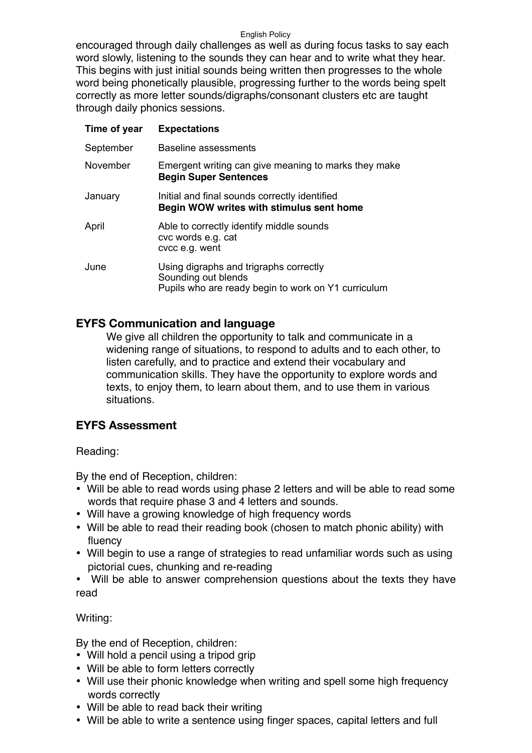encouraged through daily challenges as well as during focus tasks to say each word slowly, listening to the sounds they can hear and to write what they hear. This begins with just initial sounds being written then progresses to the whole word being phonetically plausible, progressing further to the words being spelt correctly as more letter sounds/digraphs/consonant clusters etc are taught through daily phonics sessions.

| Time of year | <b>Expectations</b>                                                                                                  |
|--------------|----------------------------------------------------------------------------------------------------------------------|
| September    | Baseline assessments                                                                                                 |
| November     | Emergent writing can give meaning to marks they make<br><b>Begin Super Sentences</b>                                 |
| January      | Initial and final sounds correctly identified<br>Begin WOW writes with stimulus sent home                            |
| April        | Able to correctly identify middle sounds<br>cvc words e.g. cat<br>cvcc e.g. went                                     |
| June         | Using digraphs and trigraphs correctly<br>Sounding out blends<br>Pupils who are ready begin to work on Y1 curriculum |

## **EYFS Communication and language**

We give all children the opportunity to talk and communicate in a widening range of situations, to respond to adults and to each other, to listen carefully, and to practice and extend their vocabulary and communication skills. They have the opportunity to explore words and texts, to enjoy them, to learn about them, and to use them in various situations.

## **EYFS Assessment**

Reading:

By the end of Reception, children:

- Will be able to read words using phase 2 letters and will be able to read some words that require phase 3 and 4 letters and sounds.
- Will have a growing knowledge of high frequency words
- Will be able to read their reading book (chosen to match phonic ability) with fluency
- Will begin to use a range of strategies to read unfamiliar words such as using pictorial cues, chunking and re-reading
- Will be able to answer comprehension questions about the texts they have read

Writing:

By the end of Reception, children:

- Will hold a pencil using a tripod grip
- Will be able to form letters correctly
- Will use their phonic knowledge when writing and spell some high frequency words correctly
- Will be able to read back their writing
- Will be able to write a sentence using finger spaces, capital letters and full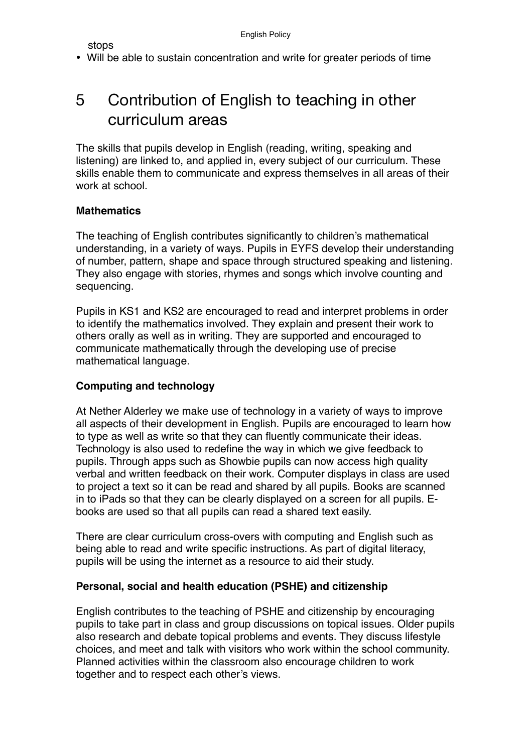stops

• Will be able to sustain concentration and write for greater periods of time

# 5 Contribution of English to teaching in other curriculum areas

The skills that pupils develop in English (reading, writing, speaking and listening) are linked to, and applied in, every subject of our curriculum. These skills enable them to communicate and express themselves in all areas of their work at school

### **Mathematics**

The teaching of English contributes significantly to children's mathematical understanding, in a variety of ways. Pupils in EYFS develop their understanding of number, pattern, shape and space through structured speaking and listening. They also engage with stories, rhymes and songs which involve counting and sequencing.

Pupils in KS1 and KS2 are encouraged to read and interpret problems in order to identify the mathematics involved. They explain and present their work to others orally as well as in writing. They are supported and encouraged to communicate mathematically through the developing use of precise mathematical language.

### **Computing and technology**

At Nether Alderley we make use of technology in a variety of ways to improve all aspects of their development in English. Pupils are encouraged to learn how to type as well as write so that they can fluently communicate their ideas. Technology is also used to redefine the way in which we give feedback to pupils. Through apps such as Showbie pupils can now access high quality verbal and written feedback on their work. Computer displays in class are used to project a text so it can be read and shared by all pupils. Books are scanned in to iPads so that they can be clearly displayed on a screen for all pupils. Ebooks are used so that all pupils can read a shared text easily.

There are clear curriculum cross-overs with computing and English such as being able to read and write specific instructions. As part of digital literacy, pupils will be using the internet as a resource to aid their study.

#### **Personal, social and health education (PSHE) and citizenship**

English contributes to the teaching of PSHE and citizenship by encouraging pupils to take part in class and group discussions on topical issues. Older pupils also research and debate topical problems and events. They discuss lifestyle choices, and meet and talk with visitors who work within the school community. Planned activities within the classroom also encourage children to work together and to respect each other's views.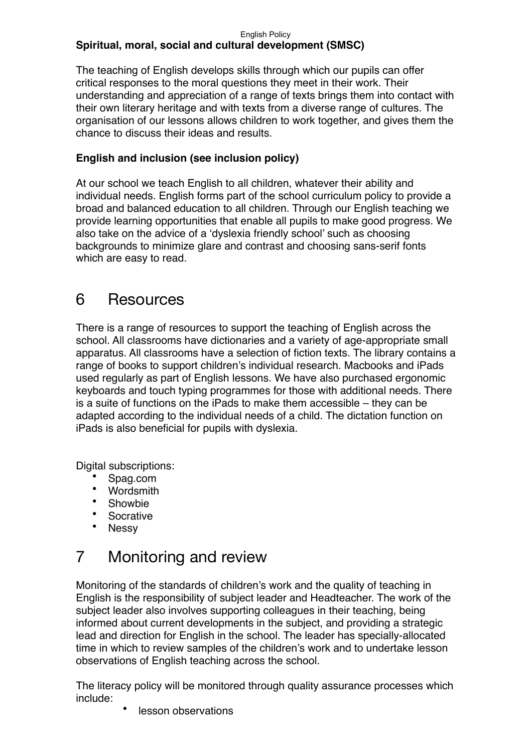#### English Policy **Spiritual, moral, social and cultural development (SMSC)**

The teaching of English develops skills through which our pupils can offer critical responses to the moral questions they meet in their work. Their understanding and appreciation of a range of texts brings them into contact with their own literary heritage and with texts from a diverse range of cultures. The organisation of our lessons allows children to work together, and gives them the chance to discuss their ideas and results.

## **English and inclusion (see inclusion policy)**

At our school we teach English to all children, whatever their ability and individual needs. English forms part of the school curriculum policy to provide a broad and balanced education to all children. Through our English teaching we provide learning opportunities that enable all pupils to make good progress. We also take on the advice of a 'dyslexia friendly school' such as choosing backgrounds to minimize glare and contrast and choosing sans-serif fonts which are easy to read.

# 6 Resources

There is a range of resources to support the teaching of English across the school. All classrooms have dictionaries and a variety of age-appropriate small apparatus. All classrooms have a selection of fiction texts. The library contains a range of books to support children's individual research. Macbooks and iPads used regularly as part of English lessons. We have also purchased ergonomic keyboards and touch typing programmes for those with additional needs. There is a suite of functions on the iPads to make them accessible – they can be adapted according to the individual needs of a child. The dictation function on iPads is also beneficial for pupils with dyslexia.

Digital subscriptions:

- Spag.com
- Wordsmith
- Showbie
- Socrative
- Nessy

# 7 Monitoring and review

Monitoring of the standards of children's work and the quality of teaching in English is the responsibility of subject leader and Headteacher. The work of the subject leader also involves supporting colleagues in their teaching, being informed about current developments in the subject, and providing a strategic lead and direction for English in the school. The leader has specially-allocated time in which to review samples of the children's work and to undertake lesson observations of English teaching across the school.

The literacy policy will be monitored through quality assurance processes which include:

lesson observations